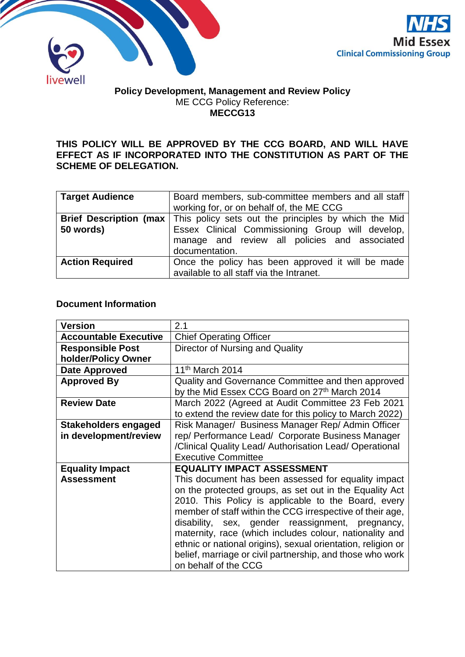



#### **Policy Development, Management and Review Policy** ME CCG Policy Reference: **MECCG13**

### **THIS POLICY WILL BE APPROVED BY THE CCG BOARD, AND WILL HAVE EFFECT AS IF INCORPORATED INTO THE CONSTITUTION AS PART OF THE SCHEME OF DELEGATION.**

| <b>Target Audience</b> | Board members, sub-committee members and all staff<br>working for, or on behalf of, the ME CCG |  |  |  |
|------------------------|------------------------------------------------------------------------------------------------|--|--|--|
|                        | <b>Brief Description (max</b>   This policy sets out the principles by which the Mid           |  |  |  |
| 50 words)              | Essex Clinical Commissioning Group will develop,                                               |  |  |  |
|                        | manage and review all policies and associated                                                  |  |  |  |
|                        | documentation.                                                                                 |  |  |  |
| <b>Action Required</b> | Once the policy has been approved it will be made                                              |  |  |  |
|                        | available to all staff via the Intranet.                                                       |  |  |  |

### **Document Information**

| <b>Version</b>               | 2.1                                                          |
|------------------------------|--------------------------------------------------------------|
| <b>Accountable Executive</b> | <b>Chief Operating Officer</b>                               |
| <b>Responsible Post</b>      | Director of Nursing and Quality                              |
| holder/Policy Owner          |                                                              |
| <b>Date Approved</b>         | 11 <sup>th</sup> March 2014                                  |
| <b>Approved By</b>           | Quality and Governance Committee and then approved           |
|                              | by the Mid Essex CCG Board on 27th March 2014                |
| <b>Review Date</b>           | March 2022 (Agreed at Audit Committee 23 Feb 2021            |
|                              | to extend the review date for this policy to March 2022)     |
| Stakeholders engaged         | Risk Manager/ Business Manager Rep/ Admin Officer            |
| in development/review        | rep/ Performance Lead/ Corporate Business Manager            |
|                              | /Clinical Quality Lead/ Authorisation Lead/ Operational      |
|                              | <b>Executive Committee</b>                                   |
| <b>Equality Impact</b>       | <b>EQUALITY IMPACT ASSESSMENT</b>                            |
| <b>Assessment</b>            | This document has been assessed for equality impact          |
|                              | on the protected groups, as set out in the Equality Act      |
|                              | 2010. This Policy is applicable to the Board, every          |
|                              | member of staff within the CCG irrespective of their age,    |
|                              | disability, sex, gender reassignment, pregnancy,             |
|                              | maternity, race (which includes colour, nationality and      |
|                              | ethnic or national origins), sexual orientation, religion or |
|                              | belief, marriage or civil partnership, and those who work    |
|                              | on behalf of the CCG                                         |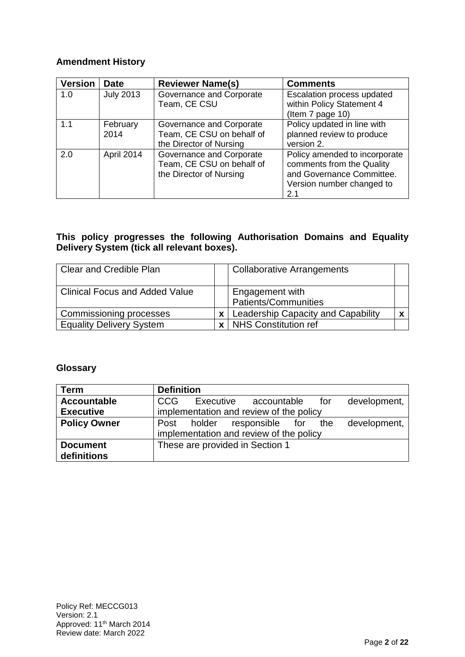## **Amendment History**

| <b>Version</b> | <b>Date</b>      | <b>Reviewer Name(s)</b>                                                          | <b>Comments</b>                                                                                                             |
|----------------|------------------|----------------------------------------------------------------------------------|-----------------------------------------------------------------------------------------------------------------------------|
| 1.0            | <b>July 2013</b> | Governance and Corporate<br>Team, CE CSU                                         | Escalation process updated<br>within Policy Statement 4<br>(Item 7 page 10)                                                 |
| 1.1            | February<br>2014 | Governance and Corporate<br>Team, CE CSU on behalf of<br>the Director of Nursing | Policy updated in line with<br>planned review to produce<br>version 2.                                                      |
| 2.0            | April 2014       | Governance and Corporate<br>Team, CE CSU on behalf of<br>the Director of Nursing | Policy amended to incorporate<br>comments from the Quality<br>and Governance Committee.<br>Version number changed to<br>2.1 |

#### **This policy progresses the following Authorisation Domains and Equality Delivery System (tick all relevant boxes).**

| <b>Clear and Credible Plan</b>        | <b>Collaborative Arrangements</b>        |  |
|---------------------------------------|------------------------------------------|--|
| <b>Clinical Focus and Added Value</b> | Engagement with<br>Patients/Communities  |  |
| Commissioning processes               | $x$   Leadership Capacity and Capability |  |
| <b>Equality Delivery System</b>       | $x$ NHS Constitution ref                 |  |

## **Glossary**

| Term                | <b>Definition</b> |                                         |     |              |
|---------------------|-------------------|-----------------------------------------|-----|--------------|
| <b>Accountable</b>  | <b>CCG</b>        | Executive accountable                   | for | development, |
| <b>Executive</b>    |                   | implementation and review of the policy |     |              |
| <b>Policy Owner</b> |                   | Post holder responsible for             | the | development, |
|                     |                   | implementation and review of the policy |     |              |
| <b>Document</b>     |                   | These are provided in Section 1         |     |              |
| definitions         |                   |                                         |     |              |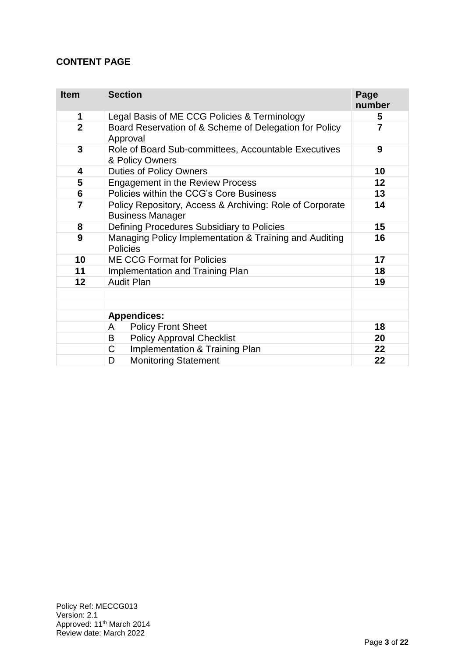# **CONTENT PAGE**

| <b>Item</b>     | <b>Section</b>                                                                      | Page<br>number |
|-----------------|-------------------------------------------------------------------------------------|----------------|
| 1               | Legal Basis of ME CCG Policies & Terminology                                        | 5              |
| $\overline{2}$  | Board Reservation of & Scheme of Delegation for Policy<br>Approval                  | 7              |
| 3               | Role of Board Sub-committees, Accountable Executives<br>& Policy Owners             | 9              |
| 4               | <b>Duties of Policy Owners</b>                                                      | 10             |
| 5               | <b>Engagement in the Review Process</b>                                             | 12             |
| $6\phantom{1}6$ | Policies within the CCG's Core Business                                             | 13             |
| 7               | Policy Repository, Access & Archiving: Role of Corporate<br><b>Business Manager</b> | 14             |
| 8               | Defining Procedures Subsidiary to Policies                                          | 15             |
| 9               | Managing Policy Implementation & Training and Auditing<br><b>Policies</b>           | 16             |
| 10              | <b>ME CCG Format for Policies</b>                                                   | 17             |
| 11              | Implementation and Training Plan                                                    | 18             |
| 12              | <b>Audit Plan</b>                                                                   | 19             |
|                 | <b>Appendices:</b>                                                                  |                |
|                 | <b>Policy Front Sheet</b><br>A                                                      | 18             |
|                 | <b>Policy Approval Checklist</b><br>B                                               | 20             |
|                 | C<br>Implementation & Training Plan                                                 | 22             |
|                 | <b>Monitoring Statement</b><br>D                                                    | 22             |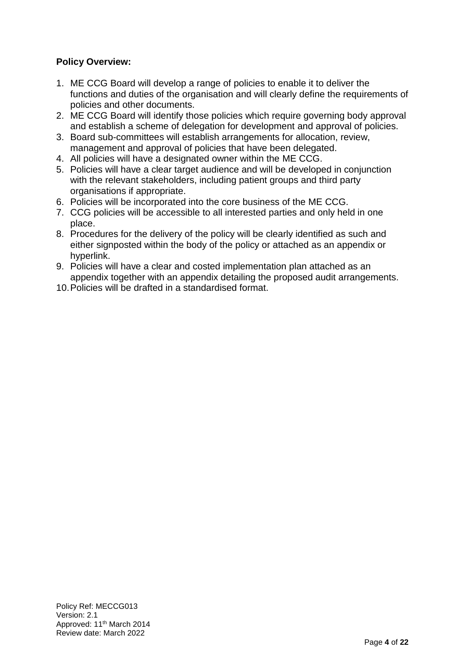## **Policy Overview:**

- 1. ME CCG Board will develop a range of policies to enable it to deliver the functions and duties of the organisation and will clearly define the requirements of policies and other documents.
- 2. ME CCG Board will identify those policies which require governing body approval and establish a scheme of delegation for development and approval of policies.
- 3. Board sub-committees will establish arrangements for allocation, review, management and approval of policies that have been delegated.
- 4. All policies will have a designated owner within the ME CCG.
- 5. Policies will have a clear target audience and will be developed in conjunction with the relevant stakeholders, including patient groups and third party organisations if appropriate.
- 6. Policies will be incorporated into the core business of the ME CCG.
- 7. CCG policies will be accessible to all interested parties and only held in one place.
- 8. Procedures for the delivery of the policy will be clearly identified as such and either signposted within the body of the policy or attached as an appendix or hyperlink.
- 9. Policies will have a clear and costed implementation plan attached as an appendix together with an appendix detailing the proposed audit arrangements.
- 10.Policies will be drafted in a standardised format.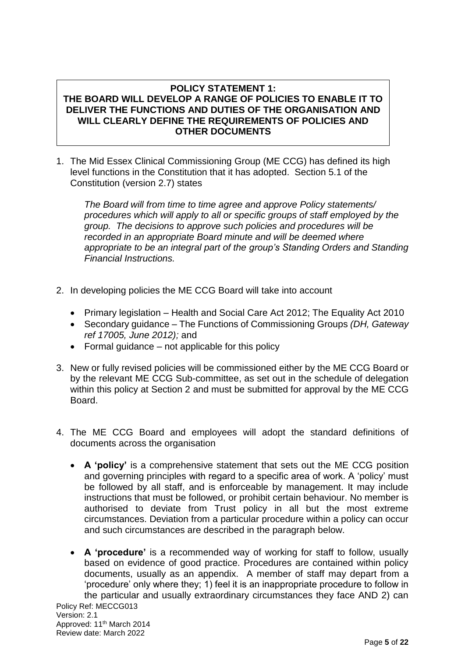#### **POLICY STATEMENT 1: THE BOARD WILL DEVELOP A RANGE OF POLICIES TO ENABLE IT TO DELIVER THE FUNCTIONS AND DUTIES OF THE ORGANISATION AND WILL CLEARLY DEFINE THE REQUIREMENTS OF POLICIES AND OTHER DOCUMENTS**

1. The Mid Essex Clinical Commissioning Group (ME CCG) has defined its high level functions in the Constitution that it has adopted. Section 5.1 of the Constitution (version 2.7) states

*The Board will from time to time agree and approve Policy statements/ procedures which will apply to all or specific groups of staff employed by the group. The decisions to approve such policies and procedures will be recorded in an appropriate Board minute and will be deemed where appropriate to be an integral part of the group's Standing Orders and Standing Financial Instructions.*

- 2. In developing policies the ME CCG Board will take into account
	- Primary legislation Health and Social Care Act 2012; The Equality Act 2010
	- Secondary guidance The Functions of Commissioning Groups *(DH, Gateway ref 17005, June 2012);* and
	- Formal guidance  $-$  not applicable for this policy
- 3. New or fully revised policies will be commissioned either by the ME CCG Board or by the relevant ME CCG Sub-committee, as set out in the schedule of delegation within this policy at Section 2 and must be submitted for approval by the ME CCG Board.
- 4. The ME CCG Board and employees will adopt the standard definitions of documents across the organisation
	- **A 'policy'** is a comprehensive statement that sets out the ME CCG position and governing principles with regard to a specific area of work. A 'policy' must be followed by all staff, and is enforceable by management. It may include instructions that must be followed, or prohibit certain behaviour. No member is authorised to deviate from Trust policy in all but the most extreme circumstances. Deviation from a particular procedure within a policy can occur and such circumstances are described in the paragraph below.
- Policy Ref: MECCG013 • **A 'procedure'** is a recommended way of working for staff to follow, usually based on evidence of good practice. Procedures are contained within policy documents, usually as an appendix. A member of staff may depart from a 'procedure' only where they; 1) feel it is an inappropriate procedure to follow in the particular and usually extraordinary circumstances they face AND 2) can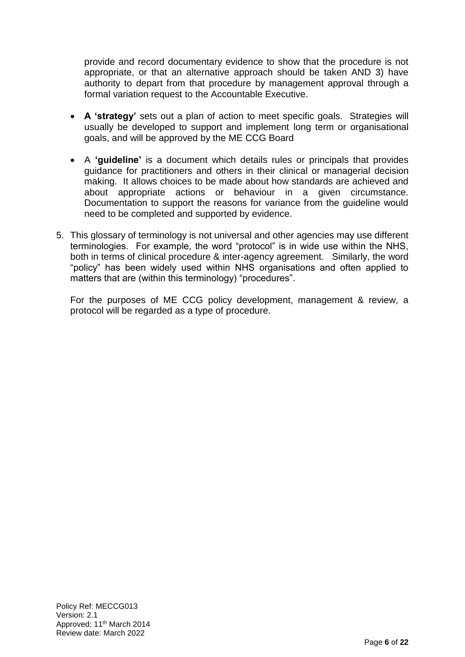provide and record documentary evidence to show that the procedure is not appropriate, or that an alternative approach should be taken AND 3) have authority to depart from that procedure by management approval through a formal variation request to the Accountable Executive.

- **A 'strategy'** sets out a plan of action to meet specific goals. Strategies will usually be developed to support and implement long term or organisational goals, and will be approved by the ME CCG Board
- A **'guideline'** is a document which details rules or principals that provides guidance for practitioners and others in their clinical or managerial decision making. It allows choices to be made about how standards are achieved and about appropriate actions or behaviour in a given circumstance. Documentation to support the reasons for variance from the guideline would need to be completed and supported by evidence.
- 5. This glossary of terminology is not universal and other agencies may use different terminologies. For example, the word "protocol" is in wide use within the NHS, both in terms of clinical procedure & inter-agency agreement. Similarly, the word "policy" has been widely used within NHS organisations and often applied to matters that are (within this terminology) "procedures".

For the purposes of ME CCG policy development, management & review, a protocol will be regarded as a type of procedure.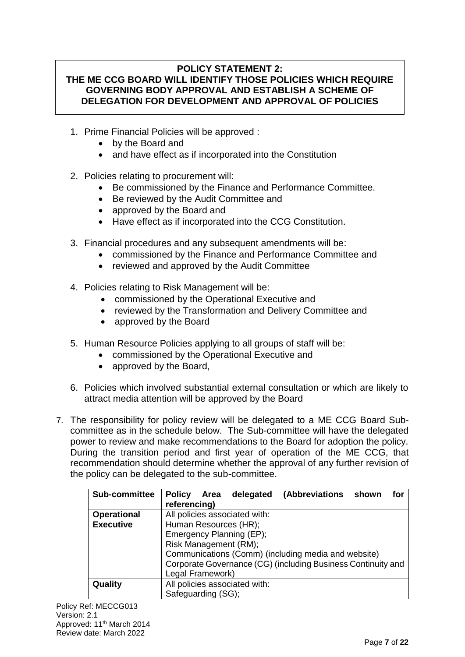#### **POLICY STATEMENT 2: THE ME CCG BOARD WILL IDENTIFY THOSE POLICIES WHICH REQUIRE GOVERNING BODY APPROVAL AND ESTABLISH A SCHEME OF DELEGATION FOR DEVELOPMENT AND APPROVAL OF POLICIES**

- 1. Prime Financial Policies will be approved :
	- by the Board and
	- and have effect as if incorporated into the Constitution
- 2. Policies relating to procurement will:
	- Be commissioned by the Finance and Performance Committee.
	- Be reviewed by the Audit Committee and
	- approved by the Board and
	- Have effect as if incorporated into the CCG Constitution.
- 3. Financial procedures and any subsequent amendments will be:
	- commissioned by the Finance and Performance Committee and
	- reviewed and approved by the Audit Committee
- 4. Policies relating to Risk Management will be:
	- commissioned by the Operational Executive and
	- reviewed by the Transformation and Delivery Committee and
	- approved by the Board
- 5. Human Resource Policies applying to all groups of staff will be:
	- commissioned by the Operational Executive and
	- approved by the Board.
- 6. Policies which involved substantial external consultation or which are likely to attract media attention will be approved by the Board
- 7. The responsibility for policy review will be delegated to a ME CCG Board Subcommittee as in the schedule below. The Sub-committee will have the delegated power to review and make recommendations to the Board for adoption the policy. During the transition period and first year of operation of the ME CCG, that recommendation should determine whether the approval of any further revision of the policy can be delegated to the sub-committee.

| Sub-committee      | (Abbreviations<br><b>Policy</b><br>delegated<br>Area         | shown<br>for |  |  |  |
|--------------------|--------------------------------------------------------------|--------------|--|--|--|
|                    | referencing)                                                 |              |  |  |  |
| <b>Operational</b> | All policies associated with:                                |              |  |  |  |
| <b>Executive</b>   | Human Resources (HR);                                        |              |  |  |  |
|                    | Emergency Planning (EP);                                     |              |  |  |  |
|                    | Risk Management (RM);                                        |              |  |  |  |
|                    | Communications (Comm) (including media and website)          |              |  |  |  |
|                    | Corporate Governance (CG) (including Business Continuity and |              |  |  |  |
|                    | Legal Framework)                                             |              |  |  |  |
| Quality            | All policies associated with:                                |              |  |  |  |
|                    | Safeguarding (SG);                                           |              |  |  |  |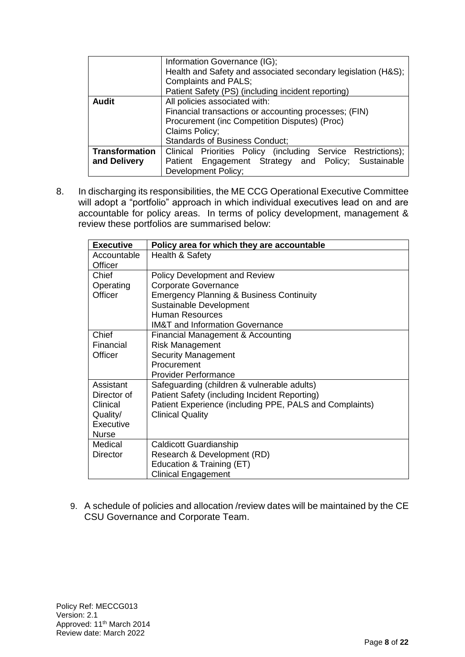|                       | Information Governance (IG);                                  |  |  |  |
|-----------------------|---------------------------------------------------------------|--|--|--|
|                       | Health and Safety and associated secondary legislation (H&S); |  |  |  |
|                       | <b>Complaints and PALS;</b>                                   |  |  |  |
|                       | Patient Safety (PS) (including incident reporting)            |  |  |  |
| <b>Audit</b>          | All policies associated with:                                 |  |  |  |
|                       | Financial transactions or accounting processes; (FIN)         |  |  |  |
|                       | Procurement (inc Competition Disputes) (Proc)                 |  |  |  |
|                       | Claims Policy;                                                |  |  |  |
|                       | <b>Standards of Business Conduct;</b>                         |  |  |  |
| <b>Transformation</b> | Clinical Priorities Policy (including Service Restrictions);  |  |  |  |
| and Delivery          | Patient Engagement Strategy and Policy; Sustainable           |  |  |  |
|                       | <b>Development Policy;</b>                                    |  |  |  |

8. In discharging its responsibilities, the ME CCG Operational Executive Committee will adopt a "portfolio" approach in which individual executives lead on and are accountable for policy areas. In terms of policy development, management & review these portfolios are summarised below:

| <b>Executive</b> | Policy area for which they are accountable              |
|------------------|---------------------------------------------------------|
| Accountable      | Health & Safety                                         |
| Officer          |                                                         |
| Chief            | <b>Policy Development and Review</b>                    |
| Operating        | <b>Corporate Governance</b>                             |
| Officer          | <b>Emergency Planning &amp; Business Continuity</b>     |
|                  | Sustainable Development                                 |
|                  | Human Resources                                         |
|                  | <b>IM&amp;T</b> and Information Governance              |
| Chief            | Financial Management & Accounting                       |
| Financial        | <b>Risk Management</b>                                  |
| Officer          | <b>Security Management</b>                              |
|                  | Procurement                                             |
|                  | <b>Provider Performance</b>                             |
| Assistant        | Safeguarding (children & vulnerable adults)             |
| Director of      | Patient Safety (including Incident Reporting)           |
| Clinical         | Patient Experience (including PPE, PALS and Complaints) |
| Quality/         | <b>Clinical Quality</b>                                 |
| Executive        |                                                         |
| <b>Nurse</b>     |                                                         |
| Medical          | Caldicott Guardianship                                  |
| Director         | Research & Development (RD)                             |
|                  | Education & Training (ET)                               |
|                  | <b>Clinical Engagement</b>                              |

9. A schedule of policies and allocation /review dates will be maintained by the CE CSU Governance and Corporate Team.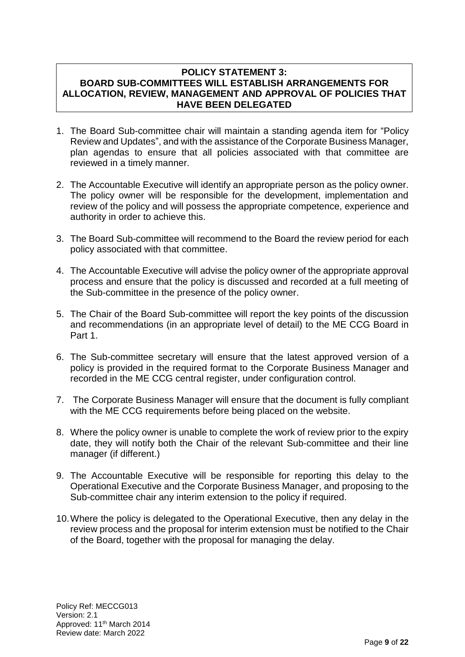#### **POLICY STATEMENT 3: BOARD SUB-COMMITTEES WILL ESTABLISH ARRANGEMENTS FOR ALLOCATION, REVIEW, MANAGEMENT AND APPROVAL OF POLICIES THAT HAVE BEEN DELEGATED**

- 1. The Board Sub-committee chair will maintain a standing agenda item for "Policy Review and Updates", and with the assistance of the Corporate Business Manager, plan agendas to ensure that all policies associated with that committee are reviewed in a timely manner.
- 2. The Accountable Executive will identify an appropriate person as the policy owner. The policy owner will be responsible for the development, implementation and review of the policy and will possess the appropriate competence, experience and authority in order to achieve this.
- 3. The Board Sub-committee will recommend to the Board the review period for each policy associated with that committee.
- 4. The Accountable Executive will advise the policy owner of the appropriate approval process and ensure that the policy is discussed and recorded at a full meeting of the Sub-committee in the presence of the policy owner.
- 5. The Chair of the Board Sub-committee will report the key points of the discussion and recommendations (in an appropriate level of detail) to the ME CCG Board in Part 1.
- 6. The Sub-committee secretary will ensure that the latest approved version of a policy is provided in the required format to the Corporate Business Manager and recorded in the ME CCG central register, under configuration control.
- 7. The Corporate Business Manager will ensure that the document is fully compliant with the ME CCG requirements before being placed on the website.
- 8. Where the policy owner is unable to complete the work of review prior to the expiry date, they will notify both the Chair of the relevant Sub-committee and their line manager (if different.)
- 9. The Accountable Executive will be responsible for reporting this delay to the Operational Executive and the Corporate Business Manager, and proposing to the Sub-committee chair any interim extension to the policy if required.
- 10.Where the policy is delegated to the Operational Executive, then any delay in the review process and the proposal for interim extension must be notified to the Chair of the Board, together with the proposal for managing the delay.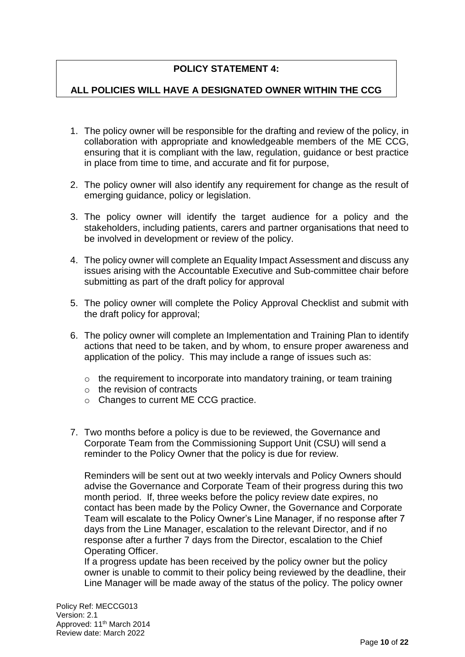# **POLICY STATEMENT 4:**

#### **ALL POLICIES WILL HAVE A DESIGNATED OWNER WITHIN THE CCG**

- 1. The policy owner will be responsible for the drafting and review of the policy, in collaboration with appropriate and knowledgeable members of the ME CCG, ensuring that it is compliant with the law, regulation, guidance or best practice in place from time to time, and accurate and fit for purpose,
- 2. The policy owner will also identify any requirement for change as the result of emerging guidance, policy or legislation.
- 3. The policy owner will identify the target audience for a policy and the stakeholders, including patients, carers and partner organisations that need to be involved in development or review of the policy.
- 4. The policy owner will complete an Equality Impact Assessment and discuss any issues arising with the Accountable Executive and Sub-committee chair before submitting as part of the draft policy for approval
- 5. The policy owner will complete the Policy Approval Checklist and submit with the draft policy for approval;
- 6. The policy owner will complete an Implementation and Training Plan to identify actions that need to be taken, and by whom, to ensure proper awareness and application of the policy. This may include a range of issues such as:
	- o the requirement to incorporate into mandatory training, or team training
	- o the revision of contracts
	- o Changes to current ME CCG practice.
- 7. Two months before a policy is due to be reviewed, the Governance and Corporate Team from the Commissioning Support Unit (CSU) will send a reminder to the Policy Owner that the policy is due for review.

Reminders will be sent out at two weekly intervals and Policy Owners should advise the Governance and Corporate Team of their progress during this two month period. If, three weeks before the policy review date expires, no contact has been made by the Policy Owner, the Governance and Corporate Team will escalate to the Policy Owner's Line Manager, if no response after 7 days from the Line Manager, escalation to the relevant Director, and if no response after a further 7 days from the Director, escalation to the Chief Operating Officer.

If a progress update has been received by the policy owner but the policy owner is unable to commit to their policy being reviewed by the deadline, their Line Manager will be made away of the status of the policy. The policy owner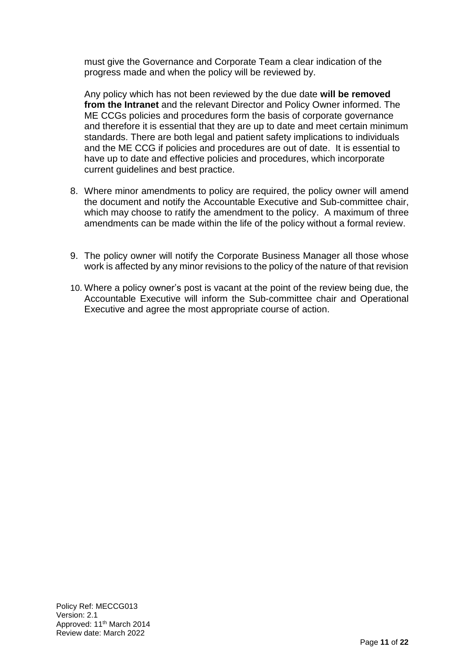must give the Governance and Corporate Team a clear indication of the progress made and when the policy will be reviewed by.

Any policy which has not been reviewed by the due date **will be removed from the Intranet** and the relevant Director and Policy Owner informed. The ME CCGs policies and procedures form the basis of corporate governance and therefore it is essential that they are up to date and meet certain minimum standards. There are both legal and patient safety implications to individuals and the ME CCG if policies and procedures are out of date. It is essential to have up to date and effective policies and procedures, which incorporate current guidelines and best practice.

- 8. Where minor amendments to policy are required, the policy owner will amend the document and notify the Accountable Executive and Sub-committee chair, which may choose to ratify the amendment to the policy. A maximum of three amendments can be made within the life of the policy without a formal review.
- 9. The policy owner will notify the Corporate Business Manager all those whose work is affected by any minor revisions to the policy of the nature of that revision
- 10. Where a policy owner's post is vacant at the point of the review being due, the Accountable Executive will inform the Sub-committee chair and Operational Executive and agree the most appropriate course of action.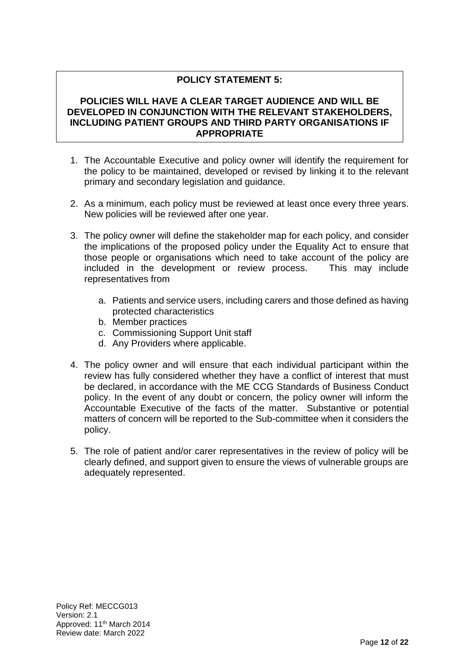## **POLICY STATEMENT 5:**

#### **POLICIES WILL HAVE A CLEAR TARGET AUDIENCE AND WILL BE DEVELOPED IN CONJUNCTION WITH THE RELEVANT STAKEHOLDERS, INCLUDING PATIENT GROUPS AND THIRD PARTY ORGANISATIONS IF APPROPRIATE**

- 1. The Accountable Executive and policy owner will identify the requirement for the policy to be maintained, developed or revised by linking it to the relevant primary and secondary legislation and guidance.
- 2. As a minimum, each policy must be reviewed at least once every three years. New policies will be reviewed after one year.
- 3. The policy owner will define the stakeholder map for each policy, and consider the implications of the proposed policy under the Equality Act to ensure that those people or organisations which need to take account of the policy are included in the development or review process. This may include representatives from
	- a. Patients and service users, including carers and those defined as having protected characteristics
	- b. Member practices
	- c. Commissioning Support Unit staff
	- d. Any Providers where applicable.
- 4. The policy owner and will ensure that each individual participant within the review has fully considered whether they have a conflict of interest that must be declared, in accordance with the ME CCG Standards of Business Conduct policy. In the event of any doubt or concern, the policy owner will inform the Accountable Executive of the facts of the matter. Substantive or potential matters of concern will be reported to the Sub-committee when it considers the policy.
- 5. The role of patient and/or carer representatives in the review of policy will be clearly defined, and support given to ensure the views of vulnerable groups are adequately represented.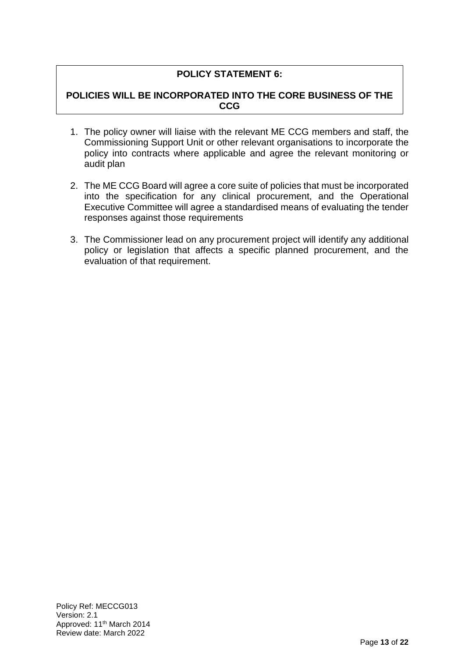# **POLICY STATEMENT 6:**

### **POLICIES WILL BE INCORPORATED INTO THE CORE BUSINESS OF THE CCG**

- 1. The policy owner will liaise with the relevant ME CCG members and staff, the Commissioning Support Unit or other relevant organisations to incorporate the policy into contracts where applicable and agree the relevant monitoring or audit plan
- 2. The ME CCG Board will agree a core suite of policies that must be incorporated into the specification for any clinical procurement, and the Operational Executive Committee will agree a standardised means of evaluating the tender responses against those requirements
- 3. The Commissioner lead on any procurement project will identify any additional policy or legislation that affects a specific planned procurement, and the evaluation of that requirement.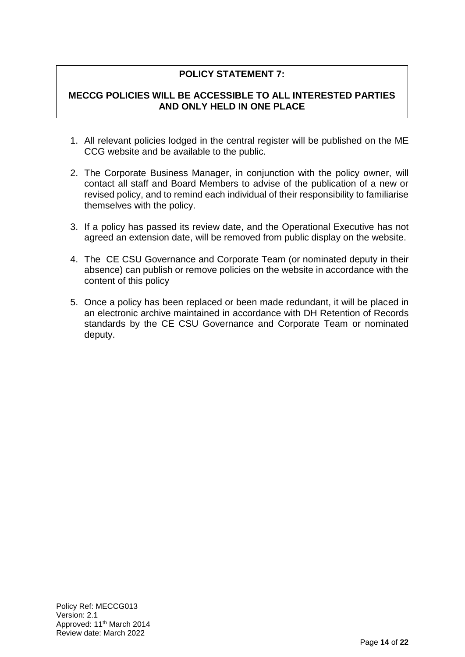# **POLICY STATEMENT 7:**

### **MECCG POLICIES WILL BE ACCESSIBLE TO ALL INTERESTED PARTIES AND ONLY HELD IN ONE PLACE**

- 1. All relevant policies lodged in the central register will be published on the ME CCG website and be available to the public.
- 2. The Corporate Business Manager, in conjunction with the policy owner, will contact all staff and Board Members to advise of the publication of a new or revised policy, and to remind each individual of their responsibility to familiarise themselves with the policy.
- 3. If a policy has passed its review date, and the Operational Executive has not agreed an extension date, will be removed from public display on the website.
- 4. The CE CSU Governance and Corporate Team (or nominated deputy in their absence) can publish or remove policies on the website in accordance with the content of this policy
- 5. Once a policy has been replaced or been made redundant, it will be placed in an electronic archive maintained in accordance with DH Retention of Records standards by the CE CSU Governance and Corporate Team or nominated deputy.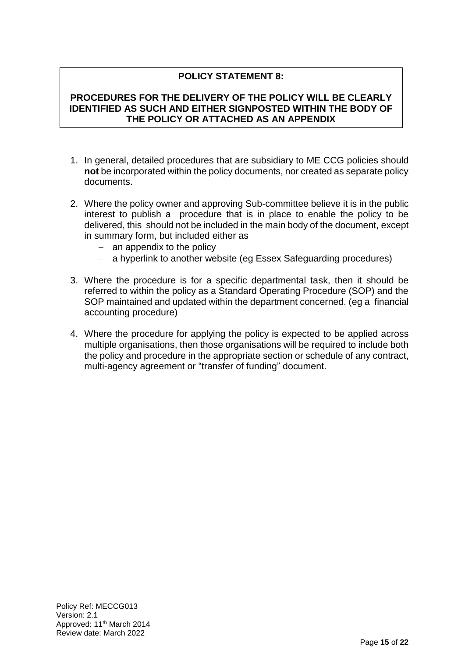# **POLICY STATEMENT 8:**

#### **PROCEDURES FOR THE DELIVERY OF THE POLICY WILL BE CLEARLY IDENTIFIED AS SUCH AND EITHER SIGNPOSTED WITHIN THE BODY OF THE POLICY OR ATTACHED AS AN APPENDIX**

- 1. In general, detailed procedures that are subsidiary to ME CCG policies should **not** be incorporated within the policy documents, nor created as separate policy documents.
- 2. Where the policy owner and approving Sub-committee believe it is in the public interest to publish a procedure that is in place to enable the policy to be delivered, this should not be included in the main body of the document, except in summary form, but included either as
	- − an appendix to the policy
	- − a hyperlink to another website (eg Essex Safeguarding procedures)
- 3. Where the procedure is for a specific departmental task, then it should be referred to within the policy as a Standard Operating Procedure (SOP) and the SOP maintained and updated within the department concerned. (eg a financial accounting procedure)
- 4. Where the procedure for applying the policy is expected to be applied across multiple organisations, then those organisations will be required to include both the policy and procedure in the appropriate section or schedule of any contract, multi-agency agreement or "transfer of funding" document.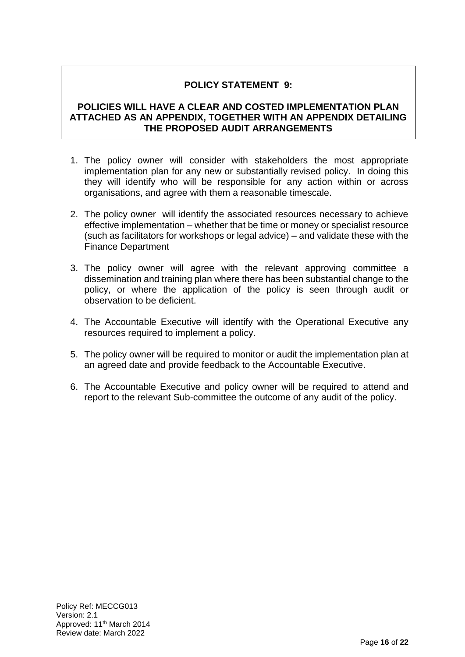### **POLICY STATEMENT 9:**

### **POLICIES WILL HAVE A CLEAR AND COSTED IMPLEMENTATION PLAN ATTACHED AS AN APPENDIX, TOGETHER WITH AN APPENDIX DETAILING THE PROPOSED AUDIT ARRANGEMENTS**

- 1. The policy owner will consider with stakeholders the most appropriate implementation plan for any new or substantially revised policy. In doing this they will identify who will be responsible for any action within or across organisations, and agree with them a reasonable timescale.
- 2. The policy owner will identify the associated resources necessary to achieve effective implementation – whether that be time or money or specialist resource (such as facilitators for workshops or legal advice) – and validate these with the Finance Department
- 3. The policy owner will agree with the relevant approving committee a dissemination and training plan where there has been substantial change to the policy, or where the application of the policy is seen through audit or observation to be deficient.
- 4. The Accountable Executive will identify with the Operational Executive any resources required to implement a policy.
- 5. The policy owner will be required to monitor or audit the implementation plan at an agreed date and provide feedback to the Accountable Executive.
- 6. The Accountable Executive and policy owner will be required to attend and report to the relevant Sub-committee the outcome of any audit of the policy.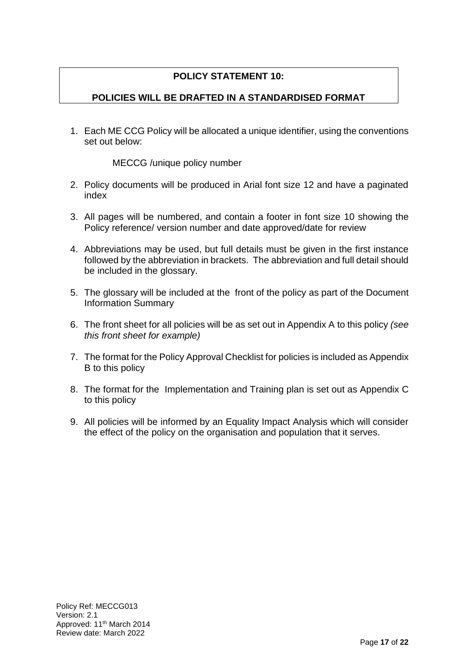# **POLICY STATEMENT 10:**

### **POLICIES WILL BE DRAFTED IN A STANDARDISED FORMAT**

1. Each ME CCG Policy will be allocated a unique identifier, using the conventions set out below:

MECCG /unique policy number

- 2. Policy documents will be produced in Arial font size 12 and have a paginated index
- 3. All pages will be numbered, and contain a footer in font size 10 showing the Policy reference/ version number and date approved/date for review
- 4. Abbreviations may be used, but full details must be given in the first instance followed by the abbreviation in brackets. The abbreviation and full detail should be included in the glossary.
- 5. The glossary will be included at the front of the policy as part of the Document Information Summary
- 6. The front sheet for all policies will be as set out in Appendix A to this policy *(see this front sheet for example)*
- 7. The format for the Policy Approval Checklist for policies is included as Appendix B to this policy
- 8. The format for the Implementation and Training plan is set out as Appendix C to this policy
- 9. All policies will be informed by an Equality Impact Analysis which will consider the effect of the policy on the organisation and population that it serves.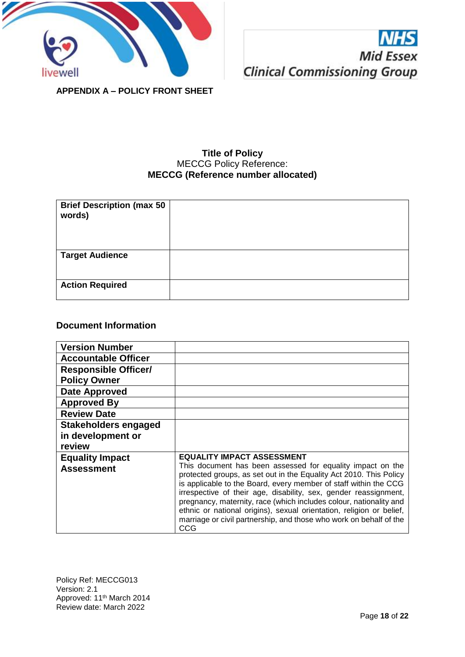



**APPENDIX A – POLICY FRONT SHEET**

### **Title of Policy** MECCG Policy Reference: **MECCG (Reference number allocated)**

| <b>Brief Description (max 50</b><br>words) |  |
|--------------------------------------------|--|
| <b>Target Audience</b>                     |  |
| <b>Action Required</b>                     |  |

#### **Document Information**

| <b>Version Number</b>                       |                                                                                                                                                                                                                                                                                                                                                                                                                                                                                                                                          |
|---------------------------------------------|------------------------------------------------------------------------------------------------------------------------------------------------------------------------------------------------------------------------------------------------------------------------------------------------------------------------------------------------------------------------------------------------------------------------------------------------------------------------------------------------------------------------------------------|
| <b>Accountable Officer</b>                  |                                                                                                                                                                                                                                                                                                                                                                                                                                                                                                                                          |
| <b>Responsible Officer/</b>                 |                                                                                                                                                                                                                                                                                                                                                                                                                                                                                                                                          |
| <b>Policy Owner</b>                         |                                                                                                                                                                                                                                                                                                                                                                                                                                                                                                                                          |
| <b>Date Approved</b>                        |                                                                                                                                                                                                                                                                                                                                                                                                                                                                                                                                          |
| <b>Approved By</b>                          |                                                                                                                                                                                                                                                                                                                                                                                                                                                                                                                                          |
| <b>Review Date</b>                          |                                                                                                                                                                                                                                                                                                                                                                                                                                                                                                                                          |
| <b>Stakeholders engaged</b>                 |                                                                                                                                                                                                                                                                                                                                                                                                                                                                                                                                          |
| in development or                           |                                                                                                                                                                                                                                                                                                                                                                                                                                                                                                                                          |
| review                                      |                                                                                                                                                                                                                                                                                                                                                                                                                                                                                                                                          |
| <b>Equality Impact</b><br><b>Assessment</b> | <b>EQUALITY IMPACT ASSESSMENT</b><br>This document has been assessed for equality impact on the<br>protected groups, as set out in the Equality Act 2010. This Policy<br>is applicable to the Board, every member of staff within the CCG<br>irrespective of their age, disability, sex, gender reassignment,<br>pregnancy, maternity, race (which includes colour, nationality and<br>ethnic or national origins), sexual orientation, religion or belief,<br>marriage or civil partnership, and those who work on behalf of the<br>CCG |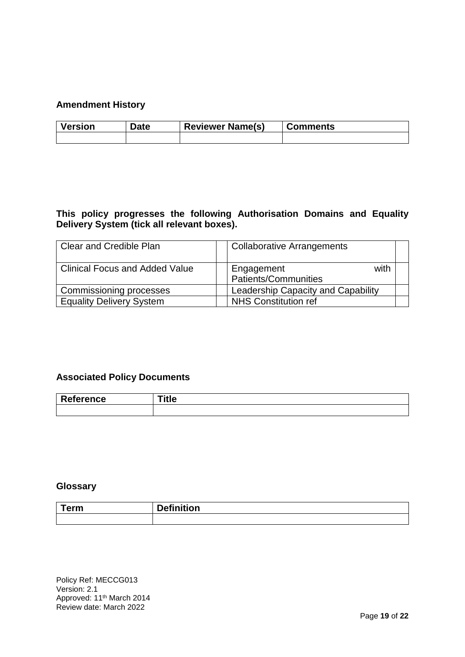## **Amendment History**

| <b>Version</b> | Date | <b>Reviewer Name(s)</b> | <b>Comments</b> |
|----------------|------|-------------------------|-----------------|
|                |      |                         |                 |

#### **This policy progresses the following Authorisation Domains and Equality Delivery System (tick all relevant boxes).**

| Clear and Credible Plan               | <b>Collaborative Arrangements</b>          |  |
|---------------------------------------|--------------------------------------------|--|
| <b>Clinical Focus and Added Value</b> | with<br>Engagement<br>Patients/Communities |  |
| Commissioning processes               | Leadership Capacity and Capability         |  |
| <b>Equality Delivery System</b>       | <b>NHS Constitution ref</b>                |  |

## **Associated Policy Documents**

| <b>Reference</b> | пе |
|------------------|----|
|                  |    |

## **Glossary**

| <b>Term</b> | $D - C$<br>.<br>м<br>υıι |
|-------------|--------------------------|
|             |                          |

Policy Ref: MECCG013 Version: 2.1 Approved: 11th March 2014 Review date: March 2022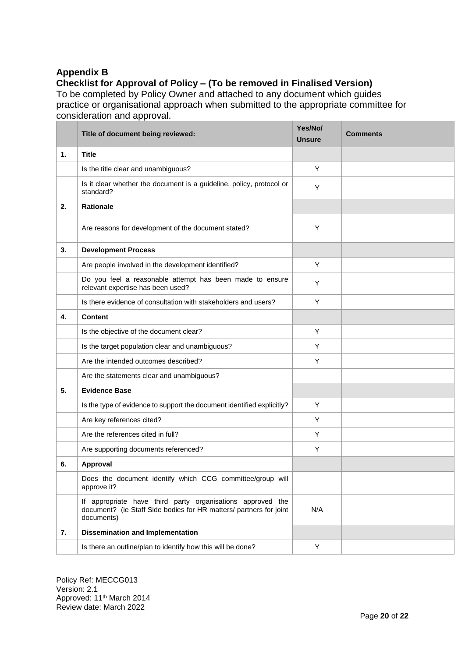# **Appendix B**

# **Checklist for Approval of Policy – (To be removed in Finalised Version)**

To be completed by Policy Owner and attached to any document which guides practice or organisational approach when submitted to the appropriate committee for consideration and approval.

|    | Title of document being reviewed:                                                                                                              | Yes/No/<br><b>Unsure</b> | <b>Comments</b> |  |
|----|------------------------------------------------------------------------------------------------------------------------------------------------|--------------------------|-----------------|--|
| 1. | <b>Title</b>                                                                                                                                   |                          |                 |  |
|    | Is the title clear and unambiguous?                                                                                                            | Y                        |                 |  |
|    | Is it clear whether the document is a guideline, policy, protocol or<br>standard?                                                              | Y                        |                 |  |
| 2. | <b>Rationale</b>                                                                                                                               |                          |                 |  |
|    | Are reasons for development of the document stated?                                                                                            | Y                        |                 |  |
| 3. | <b>Development Process</b>                                                                                                                     |                          |                 |  |
|    | Are people involved in the development identified?                                                                                             | Y                        |                 |  |
|    | Do you feel a reasonable attempt has been made to ensure<br>relevant expertise has been used?                                                  | Y                        |                 |  |
|    | Is there evidence of consultation with stakeholders and users?                                                                                 | Y                        |                 |  |
| 4. | <b>Content</b>                                                                                                                                 |                          |                 |  |
|    | Is the objective of the document clear?                                                                                                        | Y                        |                 |  |
|    | Is the target population clear and unambiguous?                                                                                                | Y                        |                 |  |
|    | Are the intended outcomes described?                                                                                                           | Y                        |                 |  |
|    | Are the statements clear and unambiguous?                                                                                                      |                          |                 |  |
| 5. | <b>Evidence Base</b>                                                                                                                           |                          |                 |  |
|    | Is the type of evidence to support the document identified explicitly?                                                                         | Y                        |                 |  |
|    | Are key references cited?                                                                                                                      | Y                        |                 |  |
|    | Are the references cited in full?                                                                                                              | Y                        |                 |  |
|    | Are supporting documents referenced?                                                                                                           | Y                        |                 |  |
| 6. | Approval                                                                                                                                       |                          |                 |  |
|    | Does the document identify which CCG committee/group will<br>approve it?                                                                       |                          |                 |  |
|    | If appropriate have third party organisations approved the<br>document? (ie Staff Side bodies for HR matters/ partners for joint<br>documents) | N/A                      |                 |  |
| 7. | <b>Dissemination and Implementation</b>                                                                                                        |                          |                 |  |
|    | Is there an outline/plan to identify how this will be done?                                                                                    | Y                        |                 |  |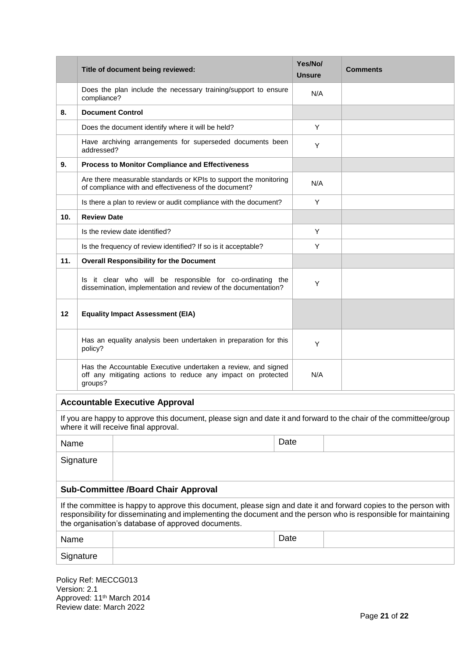|      |                                                                                                                                                                                                                                                                                             | Title of document being reviewed:                                                                                                                           |      | Yes/No/<br><b>Unsure</b> |  | <b>Comments</b> |  |
|------|---------------------------------------------------------------------------------------------------------------------------------------------------------------------------------------------------------------------------------------------------------------------------------------------|-------------------------------------------------------------------------------------------------------------------------------------------------------------|------|--------------------------|--|-----------------|--|
|      | compliance?                                                                                                                                                                                                                                                                                 | Does the plan include the necessary training/support to ensure                                                                                              |      | N/A                      |  |                 |  |
| 8.   |                                                                                                                                                                                                                                                                                             | <b>Document Control</b>                                                                                                                                     |      |                          |  |                 |  |
|      |                                                                                                                                                                                                                                                                                             | Does the document identify where it will be held?                                                                                                           |      | Y                        |  |                 |  |
|      | addressed?                                                                                                                                                                                                                                                                                  | Have archiving arrangements for superseded documents been                                                                                                   |      | Y                        |  |                 |  |
| 9.   |                                                                                                                                                                                                                                                                                             | <b>Process to Monitor Compliance and Effectiveness</b>                                                                                                      |      |                          |  |                 |  |
|      |                                                                                                                                                                                                                                                                                             | Are there measurable standards or KPIs to support the monitoring<br>of compliance with and effectiveness of the document?                                   |      | N/A                      |  |                 |  |
|      |                                                                                                                                                                                                                                                                                             | Is there a plan to review or audit compliance with the document?                                                                                            |      | Y                        |  |                 |  |
| 10.  | <b>Review Date</b>                                                                                                                                                                                                                                                                          |                                                                                                                                                             |      |                          |  |                 |  |
|      |                                                                                                                                                                                                                                                                                             | Is the review date identified?                                                                                                                              |      | Y                        |  |                 |  |
|      |                                                                                                                                                                                                                                                                                             | Is the frequency of review identified? If so is it acceptable?                                                                                              |      | Y                        |  |                 |  |
| 11.  |                                                                                                                                                                                                                                                                                             | <b>Overall Responsibility for the Document</b>                                                                                                              |      |                          |  |                 |  |
|      |                                                                                                                                                                                                                                                                                             | Is it clear who will be responsible for co-ordinating the<br>dissemination, implementation and review of the documentation?                                 |      |                          |  |                 |  |
| 12   |                                                                                                                                                                                                                                                                                             | <b>Equality Impact Assessment (EIA)</b>                                                                                                                     |      |                          |  |                 |  |
|      | policy?                                                                                                                                                                                                                                                                                     | Has an equality analysis been undertaken in preparation for this                                                                                            |      | Υ                        |  |                 |  |
|      | Has the Accountable Executive undertaken a review, and signed<br>off any mitigating actions to reduce any impact on protected<br>groups?                                                                                                                                                    |                                                                                                                                                             |      | N/A                      |  |                 |  |
|      |                                                                                                                                                                                                                                                                                             | <b>Accountable Executive Approval</b>                                                                                                                       |      |                          |  |                 |  |
|      |                                                                                                                                                                                                                                                                                             | If you are happy to approve this document, please sign and date it and forward to the chair of the committee/group<br>where it will receive final approval. |      |                          |  |                 |  |
|      | Date<br>Name                                                                                                                                                                                                                                                                                |                                                                                                                                                             |      |                          |  |                 |  |
|      | Signature                                                                                                                                                                                                                                                                                   |                                                                                                                                                             |      |                          |  |                 |  |
|      |                                                                                                                                                                                                                                                                                             | <b>Sub-Committee /Board Chair Approval</b>                                                                                                                  |      |                          |  |                 |  |
|      | If the committee is happy to approve this document, please sign and date it and forward copies to the person with<br>responsibility for disseminating and implementing the document and the person who is responsible for maintaining<br>the organisation's database of approved documents. |                                                                                                                                                             |      |                          |  |                 |  |
| Name |                                                                                                                                                                                                                                                                                             |                                                                                                                                                             | Date |                          |  |                 |  |
|      | Signature                                                                                                                                                                                                                                                                                   |                                                                                                                                                             |      |                          |  |                 |  |

Policy Ref: MECCG013 Version: 2.1 Approved: 11<sup>th</sup> March 2014 Review date: March 2022